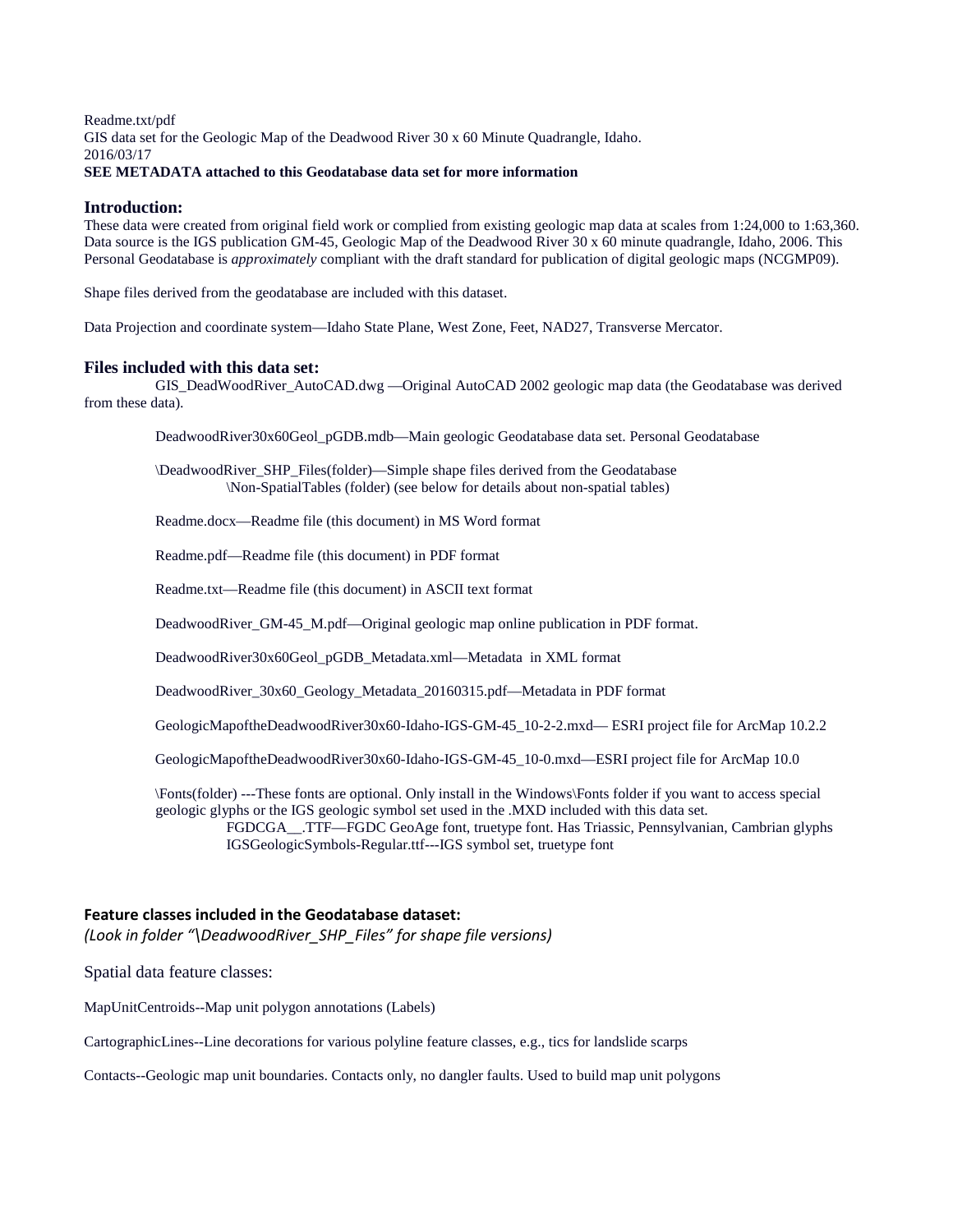### Readme.txt/pdf GIS data set for the Geologic Map of the Deadwood River 30 x 60 Minute Quadrangle, Idaho. 2016/03/17 **SEE METADATA attached to this Geodatabase data set for more information**

# **Introduction:**

These data were created from original field work or complied from existing geologic map data at scales from 1:24,000 to 1:63,360. Data source is the IGS publication GM-45, Geologic Map of the Deadwood River 30 x 60 minute quadrangle, Idaho, 2006. This Personal Geodatabase is *approximately* compliant with the draft standard for publication of digital geologic maps (NCGMP09).

Shape files derived from the geodatabase are included with this dataset.

Data Projection and coordinate system—Idaho State Plane, West Zone, Feet, NAD27, Transverse Mercator.

### **Files included with this data set:**

GIS\_DeadWoodRiver\_AutoCAD.dwg —Original AutoCAD 2002 geologic map data (the Geodatabase was derived from these data).

DeadwoodRiver30x60Geol\_pGDB.mdb—Main geologic Geodatabase data set. Personal Geodatabase

\DeadwoodRiver\_SHP\_Files(folder)—Simple shape files derived from the Geodatabase \Non-SpatialTables (folder) (see below for details about non-spatial tables)

Readme.docx—Readme file (this document) in MS Word format

Readme.pdf—Readme file (this document) in PDF format

Readme.txt—Readme file (this document) in ASCII text format

DeadwoodRiver\_GM-45\_M.pdf—Original geologic map online publication in PDF format.

DeadwoodRiver30x60Geol\_pGDB\_Metadata.xml—Metadata in XML format

DeadwoodRiver\_30x60\_Geology\_Metadata\_20160315.pdf—Metadata in PDF format

GeologicMapoftheDeadwoodRiver30x60-Idaho-IGS-GM-45\_10-2-2.mxd— ESRI project file for ArcMap 10.2.2

GeologicMapoftheDeadwoodRiver30x60-Idaho-IGS-GM-45\_10-0.mxd—ESRI project file for ArcMap 10.0

\Fonts(folder) ---These fonts are optional. Only install in the Windows\Fonts folder if you want to access special geologic glyphs or the IGS geologic symbol set used in the .MXD included with this data set. FGDCGA\_\_.TTF—FGDC GeoAge font, truetype font. Has Triassic, Pennsylvanian, Cambrian glyphs IGSGeologicSymbols-Regular.ttf---IGS symbol set, truetype font

### **Feature classes included in the Geodatabase dataset:**

*(Look in folder "\DeadwoodRiver\_SHP\_Files" for shape file versions)*

Spatial data feature classes:

MapUnitCentroids--Map unit polygon annotations (Labels)

CartographicLines--Line decorations for various polyline feature classes, e.g., tics for landslide scarps

Contacts--Geologic map unit boundaries. Contacts only, no dangler faults. Used to build map unit polygons